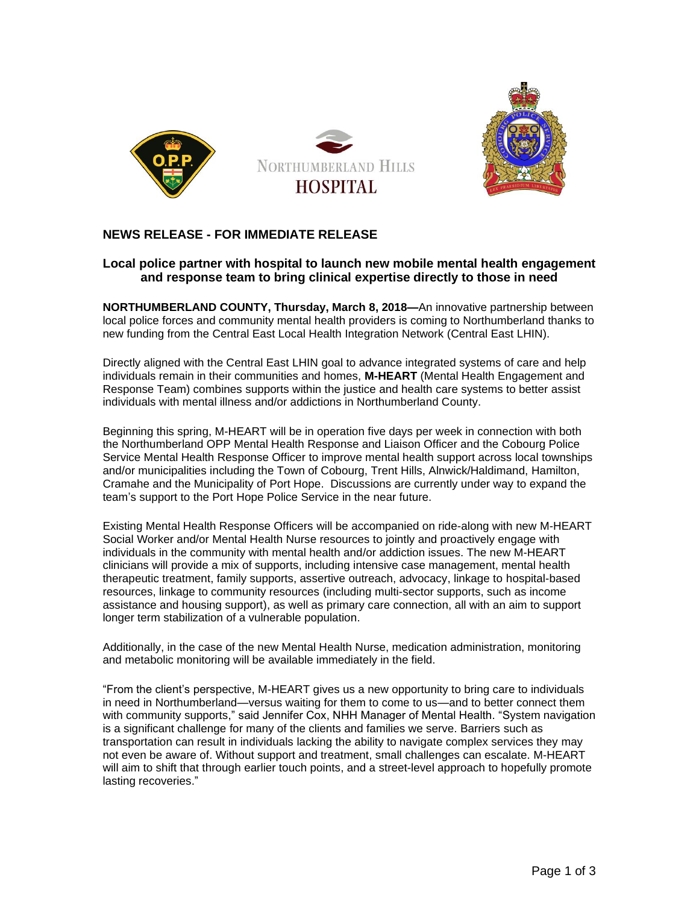



## **NEWS RELEASE - FOR IMMEDIATE RELEASE**

## **Local police partner with hospital to launch new mobile mental health engagement and response team to bring clinical expertise directly to those in need**

**NORTHUMBERLAND COUNTY, Thursday, March 8, 2018—**An innovative partnership between local police forces and community mental health providers is coming to Northumberland thanks to new funding from the Central East Local Health Integration Network (Central East LHIN).

Directly aligned with the Central East LHIN goal to advance integrated systems of care and help individuals remain in their communities and homes, **M-HEART** (Mental Health Engagement and Response Team) combines supports within the justice and health care systems to better assist individuals with mental illness and/or addictions in Northumberland County.

Beginning this spring, M-HEART will be in operation five days per week in connection with both the Northumberland OPP Mental Health Response and Liaison Officer and the Cobourg Police Service Mental Health Response Officer to improve mental health support across local townships and/or municipalities including the Town of Cobourg, Trent Hills, Alnwick/Haldimand, Hamilton, Cramahe and the Municipality of Port Hope. Discussions are currently under way to expand the team's support to the Port Hope Police Service in the near future.

Existing Mental Health Response Officers will be accompanied on ride-along with new M-HEART Social Worker and/or Mental Health Nurse resources to jointly and proactively engage with individuals in the community with mental health and/or addiction issues. The new M-HEART clinicians will provide a mix of supports, including intensive case management, mental health therapeutic treatment, family supports, assertive outreach, advocacy, linkage to hospital-based resources, linkage to community resources (including multi-sector supports, such as income assistance and housing support), as well as primary care connection, all with an aim to support longer term stabilization of a vulnerable population.

Additionally, in the case of the new Mental Health Nurse, medication administration, monitoring and metabolic monitoring will be available immediately in the field.

"From the client's perspective, M-HEART gives us a new opportunity to bring care to individuals in need in Northumberland—versus waiting for them to come to us—and to better connect them with community supports," said Jennifer Cox, NHH Manager of Mental Health. "System navigation is a significant challenge for many of the clients and families we serve. Barriers such as transportation can result in individuals lacking the ability to navigate complex services they may not even be aware of. Without support and treatment, small challenges can escalate. M-HEART will aim to shift that through earlier touch points, and a street-level approach to hopefully promote lasting recoveries."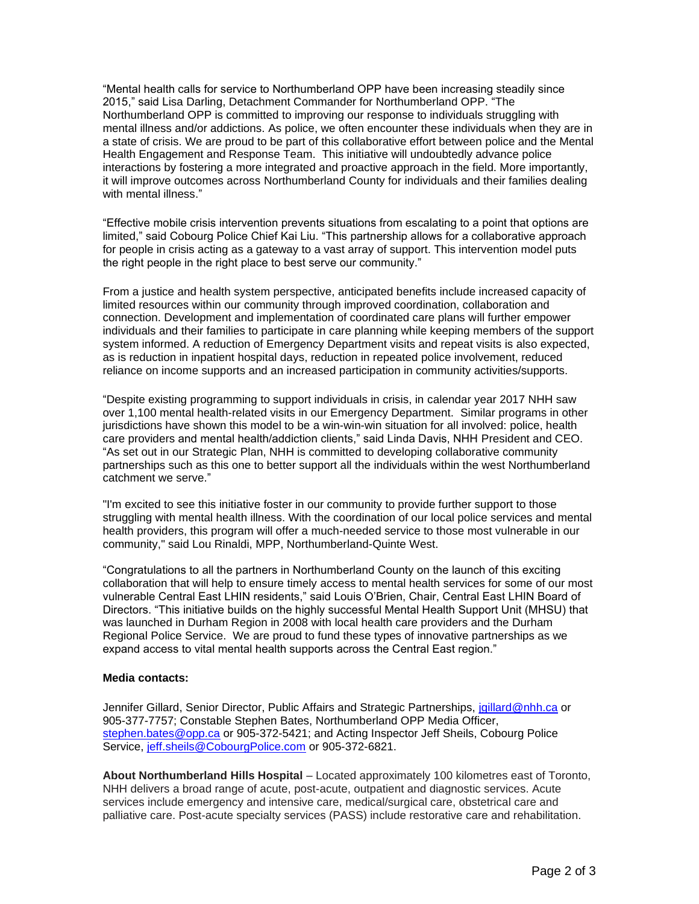"Mental health calls for service to Northumberland OPP have been increasing steadily since 2015," said Lisa Darling, Detachment Commander for Northumberland OPP. "The Northumberland OPP is committed to improving our response to individuals struggling with mental illness and/or addictions. As police, we often encounter these individuals when they are in a state of crisis. We are proud to be part of this collaborative effort between police and the Mental Health Engagement and Response Team. This initiative will undoubtedly advance police interactions by fostering a more integrated and proactive approach in the field. More importantly, it will improve outcomes across Northumberland County for individuals and their families dealing with mental illness."

"Effective mobile crisis intervention prevents situations from escalating to a point that options are limited," said Cobourg Police Chief Kai Liu. "This partnership allows for a collaborative approach for people in crisis acting as a gateway to a vast array of support. This intervention model puts the right people in the right place to best serve our community."

From a justice and health system perspective, anticipated benefits include increased capacity of limited resources within our community through improved coordination, collaboration and connection. Development and implementation of coordinated care plans will further empower individuals and their families to participate in care planning while keeping members of the support system informed. A reduction of Emergency Department visits and repeat visits is also expected, as is reduction in inpatient hospital days, reduction in repeated police involvement, reduced reliance on income supports and an increased participation in community activities/supports.

"Despite existing programming to support individuals in crisis, in calendar year 2017 NHH saw over 1,100 mental health-related visits in our Emergency Department. Similar programs in other jurisdictions have shown this model to be a win-win-win situation for all involved: police, health care providers and mental health/addiction clients," said Linda Davis, NHH President and CEO. "As set out in our Strategic Plan, NHH is committed to developing collaborative community partnerships such as this one to better support all the individuals within the west Northumberland catchment we serve."

"I'm excited to see this initiative foster in our community to provide further support to those struggling with mental health illness. With the coordination of our local police services and mental health providers, this program will offer a much-needed service to those most vulnerable in our community," said Lou Rinaldi, MPP, Northumberland-Quinte West.

"Congratulations to all the partners in Northumberland County on the launch of this exciting collaboration that will help to ensure timely access to mental health services for some of our most vulnerable Central East LHIN residents," said Louis O'Brien, Chair, Central East LHIN Board of Directors. "This initiative builds on the highly successful Mental Health Support Unit (MHSU) that was launched in Durham Region in 2008 with local health care providers and the Durham Regional Police Service. We are proud to fund these types of innovative partnerships as we expand access to vital mental health supports across the Central East region."

## **Media contacts:**

Jennifer Gillard, Senior Director, Public Affairs and Strategic Partnerships, [jgillard@nhh.ca](mailto:jgillard@nhh.ca) or 905-377-7757; Constable Stephen Bates, Northumberland OPP Media Officer, [stephen.bates@opp.ca](mailto:stephen.bates@opp.ca) or 905-372-5421; and Acting Inspector Jeff Sheils, Cobourg Police Service, [jeff.sheils@CobourgPolice.com](mailto:jeff.sheils@CobourgPolice.com) or 905-372-6821.

**About Northumberland Hills Hospital** – Located approximately 100 kilometres east of Toronto, NHH delivers a broad range of acute, post-acute, outpatient and diagnostic services. Acute services include emergency and intensive care, medical/surgical care, obstetrical care and palliative care. Post-acute specialty services (PASS) include restorative care and rehabilitation.